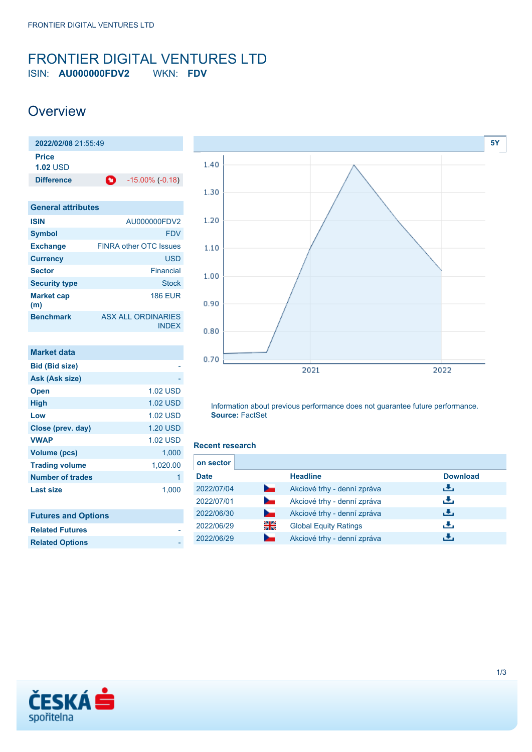### <span id="page-0-0"></span>FRONTIER DIGITAL VENTURES LTD ISIN: **AU000000FDV2** WKN: **FDV**

### **Overview**

| 2022/02/08 21:55:49       |   |                        |
|---------------------------|---|------------------------|
| Price<br><b>1.02 USD</b>  |   |                        |
| <b>Difference</b>         | o | $-15.00\%$ ( $-0.18$ ) |
| <b>General attributes</b> |   |                        |

| <b>ISIN</b>              | AU000000FDV2                       |
|--------------------------|------------------------------------|
| <b>Symbol</b>            | <b>FDV</b>                         |
| <b>Exchange</b>          | <b>FINRA other OTC Issues</b>      |
| <b>Currency</b>          | <b>USD</b>                         |
| <b>Sector</b>            | Financial                          |
| <b>Security type</b>     | Stock                              |
| <b>Market cap</b><br>(m) | <b>186 EUR</b>                     |
| <b>Benchmark</b>         | ASX ALL ORDINARIES<br><b>INDEX</b> |

| <b>Market data</b>         |                 |
|----------------------------|-----------------|
| <b>Bid (Bid size)</b>      |                 |
| Ask (Ask size)             |                 |
| <b>Open</b>                | <b>1.02 USD</b> |
| <b>High</b>                | 1.02 USD        |
| Low                        | <b>1.02 USD</b> |
| Close (prev. day)          | <b>1.20 USD</b> |
| <b>VWAP</b>                | 1.02 USD        |
| <b>Volume (pcs)</b>        | 1,000           |
| <b>Trading volume</b>      | 1,020.00        |
| Number of trades           | 1               |
| <b>Last size</b>           | 1,000           |
|                            |                 |
| <b>Futures and Options</b> |                 |



Information about previous performance does not guarantee future performance. **Source:** FactSet

#### **Recent research**

| on sector   |                |                              |                 |
|-------------|----------------|------------------------------|-----------------|
| <b>Date</b> |                | <b>Headline</b>              | <b>Download</b> |
| 2022/07/04  | <b>Service</b> | Akciové trhy - denní zpráva  | رنان            |
| 2022/07/01  | $\sim$         | Akciové trhy - denní zpráva  | رنان            |
| 2022/06/30  | <b>Service</b> | Akciové trhy - denní zpráva  | رالى            |
| 2022/06/29  | 읡              | <b>Global Equity Ratings</b> | æ,              |
| 2022/06/29  | ∼              | Akciové trhy - denní zpráva  | ٠₩.             |



**Related Futures Related Options**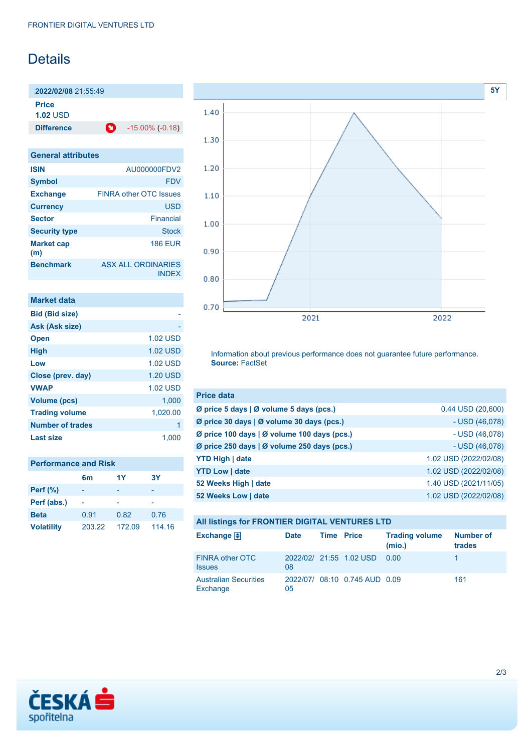## **Details**

**2022/02/08** 21:55:49

**Price**

**1.02** USD

**Difference 1** -15.00% (-0.18)

| <b>General attributes</b> |                                           |
|---------------------------|-------------------------------------------|
| <b>ISIN</b>               | AU000000FDV2                              |
| <b>Symbol</b>             | <b>FDV</b>                                |
| <b>Exchange</b>           | <b>FINRA other OTC Issues</b>             |
| <b>Currency</b>           | <b>USD</b>                                |
| <b>Sector</b>             | Financial                                 |
| <b>Security type</b>      | Stock                                     |
| <b>Market cap</b><br>(m)  | <b>186 EUR</b>                            |
| <b>Benchmark</b>          | <b>ASX ALL ORDINARIES</b><br><b>INDFX</b> |

| <b>Market data</b>      |                 |
|-------------------------|-----------------|
| <b>Bid (Bid size)</b>   |                 |
| Ask (Ask size)          |                 |
| <b>Open</b>             | <b>1.02 USD</b> |
| <b>High</b>             | <b>1.02 USD</b> |
| Low                     | <b>1.02 USD</b> |
| Close (prev. day)       | <b>1.20 USD</b> |
| <b>VWAP</b>             | <b>1.02 USD</b> |
| <b>Volume (pcs)</b>     | 1.000           |
| <b>Trading volume</b>   | 1,020.00        |
| <b>Number of trades</b> | 1               |
| Last size               | 1.000           |

| <b>Performance and Risk</b> |                |        |        |  |
|-----------------------------|----------------|--------|--------|--|
|                             | 6 <sub>m</sub> | 1Y     | 3Υ     |  |
| Perf $(\%)$                 |                |        |        |  |
| Perf (abs.)                 |                |        |        |  |
| <b>Beta</b>                 | 0.91           | 0.82   | 0.76   |  |
| <b>Volatility</b>           | 203.22         | 172.09 | 114.16 |  |



Information about previous performance does not guarantee future performance. **Source:** FactSet

| <b>Price data</b>                           |                       |
|---------------------------------------------|-----------------------|
| Ø price 5 days   Ø volume 5 days (pcs.)     | $0.44$ USD $(20,600)$ |
| Ø price 30 days   Ø volume 30 days (pcs.)   | $-$ USD (46,078)      |
| Ø price 100 days   Ø volume 100 days (pcs.) | $-$ USD (46,078)      |
| Ø price 250 days   Ø volume 250 days (pcs.) | $-$ USD (46,078)      |
| <b>YTD High   date</b>                      | 1.02 USD (2022/02/08) |
| <b>YTD Low   date</b>                       | 1.02 USD (2022/02/08) |
| 52 Weeks High   date                        | 1.40 USD (2021/11/05) |
| 52 Weeks Low   date                         | 1.02 USD (2022/02/08) |

| All listings for FRONTIER DIGITAL VENTURES LTD |             |                   |                               |                                 |                            |
|------------------------------------------------|-------------|-------------------|-------------------------------|---------------------------------|----------------------------|
| Exchange $\bigoplus$                           | <b>Date</b> | <b>Time Price</b> |                               | <b>Trading volume</b><br>(mio.) | <b>Number of</b><br>trades |
| FINRA other OTC<br><b>Issues</b>               | 08          |                   | 2022/02/ 21:55 1.02 USD       | 0.00                            |                            |
| <b>Australian Securities</b><br>Exchange       | 05          |                   | 2022/07/ 08:10 0.745 AUD 0.09 |                                 | 161                        |